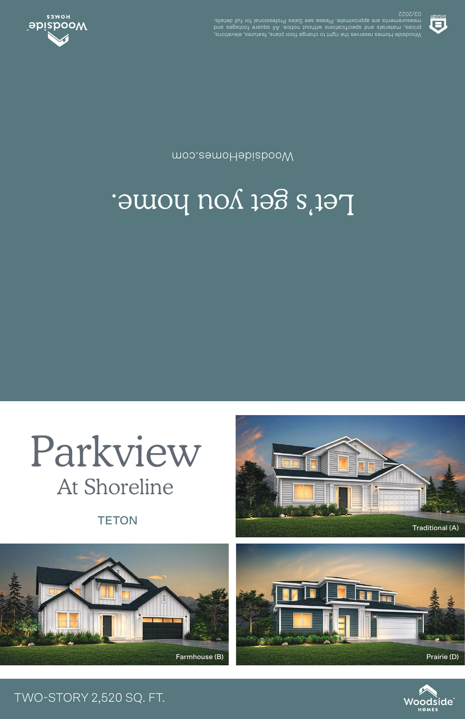Woodside Homes reserves the right to change floor plans, features, elevations, prices, materials and specifications without notice. All square footages and measurements are approximate. Please see Sales Professional for full details. 03/2022



## Let's get you home.

WoodsideHomes.com



## TWO-STORY 2,520 SQ. FT.





**TETON** 

Parkview

At Shoreline